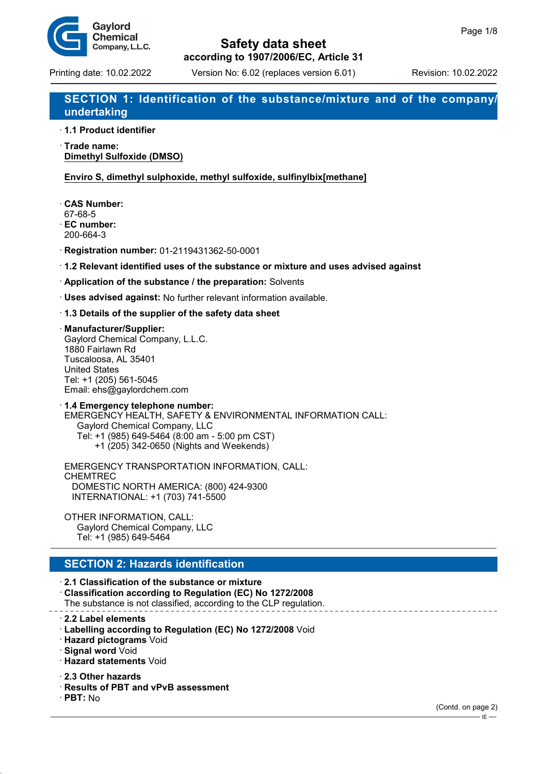

# **Safety data sheet**

**according to 1907/2006/EC, Article 31**

# **SECTION 1: Identification of the substance/mixture and of the company/ undertaking**

· **1.1 Product identifier**

· **Trade name: Dimethyl Sulfoxide (DMSO)**

**Enviro S, dimethyl sulphoxide, methyl sulfoxide, sulfinylbix[methane]**

· **CAS Number:** 67-68-5

· **EC number:** 200-664-3

· **Registration number:** 01-2119431362-50-0001

· **1.2 Relevant identified uses of the substance or mixture and uses advised against**

· **Application of the substance / the preparation:** Solvents

· **Uses advised against:** No further relevant information available.

#### · **1.3 Details of the supplier of the safety data sheet**

· **Manufacturer/Supplier:** Gaylord Chemical Company, L.L.C. 1880 Fairlawn Rd Tuscaloosa, AL 35401 United States Tel: +1 (205) 561-5045 Email: ehs@gaylordchem.com

· **1.4 Emergency telephone number:** EMERGENCY HEALTH, SAFETY & ENVIRONMENTAL INFORMATION CALL: Gaylord Chemical Company, LLC Tel: +1 (985) 649-5464 (8:00 am - 5:00 pm CST) +1 (205) 342-0650 (Nights and Weekends)

EMERGENCY TRANSPORTATION INFORMATION, CALL: CHEMTREC DOMESTIC NORTH AMERICA: (800) 424-9300 INTERNATIONAL: +1 (703) 741-5500

OTHER INFORMATION, CALL: Gaylord Chemical Company, LLC Tel: +1 (985) 649-5464

### **SECTION 2: Hazards identification**

· **2.1 Classification of the substance or mixture** · **Classification according to Regulation (EC) No 1272/2008** The substance is not classified, according to the CLP regulation.

· **2.2 Label elements**

- · **Labelling according to Regulation (EC) No 1272/2008** Void
- · **Hazard pictograms** Void
- · **Signal word** Void
- · **Hazard statements** Void

· **2.3 Other hazards**

- · **Results of PBT and vPvB assessment**
- · **PBT:** No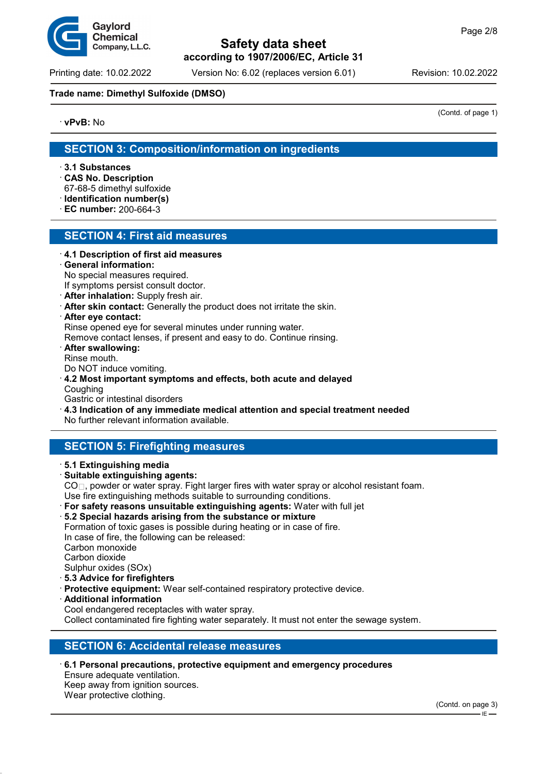

Printing date: 10.02.2022 Version No: 6.02 (replaces version 6.01) Revision: 10.02.2022

#### **Trade name: Dimethyl Sulfoxide (DMSO)**

· **vPvB:** No

(Contd. of page 1)

# **SECTION 3: Composition/information on ingredients**

- · **3.1 Substances**
- · **CAS No. Description**
- 67-68-5 dimethyl sulfoxide
- · **Identification number(s)**
- · **EC number:** 200-664-3

### **SECTION 4: First aid measures**

- · **4.1 Description of first aid measures**
- · **General information:**
- No special measures required.
- If symptoms persist consult doctor.
- · **After inhalation:** Supply fresh air.
- · **After skin contact:** Generally the product does not irritate the skin.
- · **After eye contact:**

Rinse opened eye for several minutes under running water.

Remove contact lenses, if present and easy to do. Continue rinsing.

· **After swallowing:**

Rinse mouth.

- Do NOT induce vomiting.
- · **4.2 Most important symptoms and effects, both acute and delayed Coughing**

Gastric or intestinal disorders

· **4.3 Indication of any immediate medical attention and special treatment needed**

No further relevant information available.

# **SECTION 5: Firefighting measures**

- · **5.1 Extinguishing media**
- · **Suitable extinguishing agents:**

CO $□$ , powder or water spray. Fight larger fires with water spray or alcohol resistant foam.

Use fire extinguishing methods suitable to surrounding conditions.

- · **For safety reasons unsuitable extinguishing agents:** Water with full jet
- · **5.2 Special hazards arising from the substance or mixture** Formation of toxic gases is possible during heating or in case of fire. In case of fire, the following can be released: Carbon monoxide

Carbon dioxide

Sulphur oxides (SOx)

- · **5.3 Advice for firefighters**
- **Protective equipment:** Wear self-contained respiratory protective device.
- · **Additional information** Cool endangered receptacles with water spray.

Collect contaminated fire fighting water separately. It must not enter the sewage system.

# **SECTION 6: Accidental release measures**

· **6.1 Personal precautions, protective equipment and emergency procedures** Ensure adequate ventilation. Keep away from ignition sources. Wear protective clothing.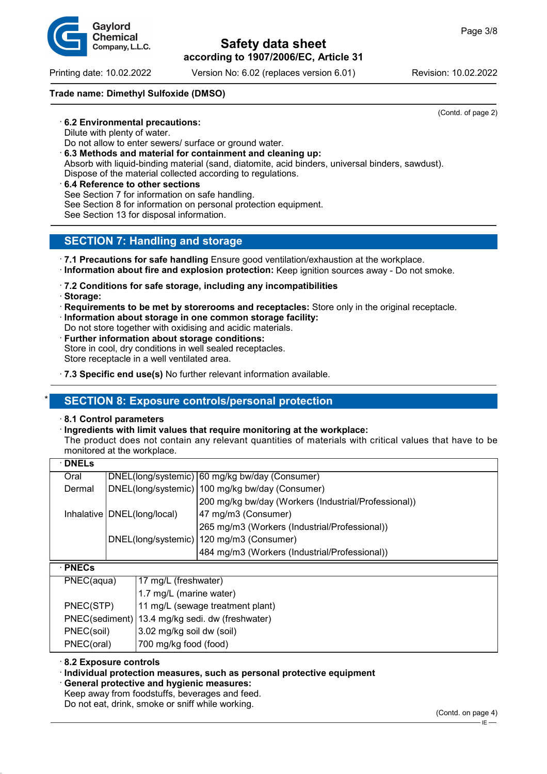Printing date: 10.02.2022 Version No: 6.02 (replaces version 6.01) Revision: 10.02.2022

#### **Trade name: Dimethyl Sulfoxide (DMSO)**

· **6.2 Environmental precautions:**

Dilute with plenty of water.

- Do not allow to enter sewers/ surface or ground water.
- · **6.3 Methods and material for containment and cleaning up:**
- Absorb with liquid-binding material (sand, diatomite, acid binders, universal binders, sawdust).

Dispose of the material collected according to regulations.

· **6.4 Reference to other sections** See Section 7 for information on safe handling. See Section 8 for information on personal protection equipment. See Section 13 for disposal information.

# **SECTION 7: Handling and storage**

- · **7.1 Precautions for safe handling** Ensure good ventilation/exhaustion at the workplace. · **Information about fire and explosion protection:** Keep ignition sources away - Do not smoke.
- · **7.2 Conditions for safe storage, including any incompatibilities**
- · **Storage:**
- · **Requirements to be met by storerooms and receptacles:** Store only in the original receptacle.
- · **Information about storage in one common storage facility:** Do not store together with oxidising and acidic materials.
- **Further information about storage conditions:** Store in cool, dry conditions in well sealed receptacles. Store receptacle in a well ventilated area.
- · **7.3 Specific end use(s)** No further relevant information available.

# **SECTION 8: Exposure controls/personal protection**

#### · **8.1 Control parameters**

· **Ingredients with limit values that require monitoring at the workplace:**

The product does not contain any relevant quantities of materials with critical values that have to be monitored at the workplace.

| <b>DNELs</b>   |                               |                                  |                                                      |  |
|----------------|-------------------------------|----------------------------------|------------------------------------------------------|--|
| Oral           |                               |                                  | DNEL(long/systemic) 60 mg/kg bw/day (Consumer)       |  |
| Dermal         |                               |                                  | DNEL(long/systemic)   100 mg/kg bw/day (Consumer)    |  |
|                |                               |                                  | 200 mg/kg bw/day (Workers (Industrial/Professional)) |  |
|                | Inhalative   DNEL(long/local) |                                  | 47 mg/m3 (Consumer)                                  |  |
|                |                               |                                  | 265 mg/m3 (Workers (Industrial/Professional))        |  |
|                |                               |                                  | DNEL(long/systemic)   120 mg/m3 (Consumer)           |  |
|                |                               |                                  | 484 mg/m3 (Workers (Industrial/Professional))        |  |
| <b>PNECs</b>   |                               |                                  |                                                      |  |
| PNEC(aqua)     |                               | 17 mg/L (freshwater)             |                                                      |  |
|                |                               | 1.7 mg/L (marine water)          |                                                      |  |
| PNEC(STP)      |                               | 11 mg/L (sewage treatment plant) |                                                      |  |
| PNEC(sediment) |                               | 13.4 mg/kg sedi. dw (freshwater) |                                                      |  |
| PNEC(soil)     |                               | 3.02 mg/kg soil dw (soil)        |                                                      |  |
| PNEC(oral)     |                               | 700 mg/kg food (food)            |                                                      |  |

#### · **8.2 Exposure controls**

#### · **Individual protection measures, such as personal protective equipment**

· **General protective and hygienic measures:**

Keep away from foodstuffs, beverages and feed. Do not eat, drink, smoke or sniff while working.

(Contd. of page 2)

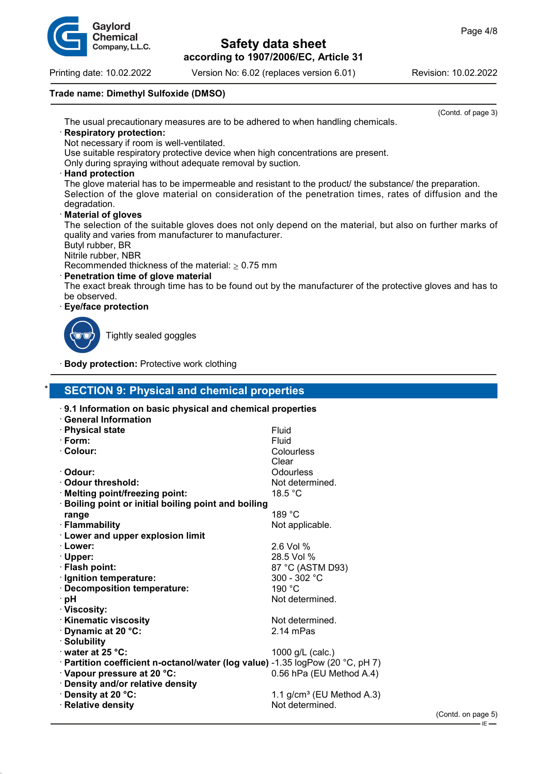

Printing date: 10.02.2022 Version No: 6.02 (replaces version 6.01) Revision: 10.02.2022

### **Trade name: Dimethyl Sulfoxide (DMSO)**

(Contd. of page 3) The usual precautionary measures are to be adhered to when handling chemicals.

#### · **Respiratory protection:**

Not necessary if room is well-ventilated.

Use suitable respiratory protective device when high concentrations are present.

Only during spraying without adequate removal by suction.

#### · **Hand protection**

The glove material has to be impermeable and resistant to the product/ the substance/ the preparation. Selection of the glove material on consideration of the penetration times, rates of diffusion and the degradation.

#### · **Material of gloves**

The selection of the suitable gloves does not only depend on the material, but also on further marks of quality and varies from manufacturer to manufacturer.

Butyl rubber, BR

Nitrile rubber, NBR

Recommended thickness of the material:  $> 0.75$  mm

### · **Penetration time of glove material**

The exact break through time has to be found out by the manufacturer of the protective gloves and has to be observed.

#### · **Eye/face protection**



Tightly sealed goggles

**Body protection: Protective work clothing** 

## **SECTION 9: Physical and chemical properties**

| 9.1 Information on basic physical and chemical properties                      |                             |
|--------------------------------------------------------------------------------|-----------------------------|
| <b>General Information</b>                                                     |                             |
| · Physical state                                                               | Fluid                       |
| $\cdot$ Form:                                                                  | Fluid                       |
| · Colour:                                                                      | Colourless                  |
|                                                                                | Clear                       |
| · Odour:                                                                       | Odourless                   |
| ⋅ Odour threshold:                                                             | Not determined.             |
| · Melting point/freezing point:                                                | 18.5 °C                     |
| · Boiling point or initial boiling point and boiling                           |                             |
| range                                                                          | 189 °C                      |
| · Flammability                                                                 | Not applicable.             |
| <b>Lower and upper explosion limit</b>                                         |                             |
| · Lower:                                                                       | $2.6$ Vol %                 |
| $\cdot$ Upper:                                                                 | 28.5 Vol %                  |
| · Flash point:                                                                 | 87 °C (ASTM D93)            |
| · Ignition temperature:                                                        | 300 - 302 $^{\circ}$ C      |
| · Decomposition temperature:                                                   | 190 °C                      |
| ∴pH                                                                            | Not determined.             |
| · Viscosity:                                                                   |                             |
| · Kinematic viscosity                                                          | Not determined.             |
| Dynamic at 20 °C:                                                              | $2.14$ mPas                 |
| · Solubility                                                                   |                             |
| $\cdot$ water at 25 °C:                                                        | 1000 g/L (calc.)            |
| · Partition coefficient n-octanol/water (log value) -1.35 logPow (20 °C, pH 7) |                             |
| · Vapour pressure at 20 °C:                                                    | 0.56 hPa (EU Method A.4)    |
| · Density and/or relative density                                              |                             |
| · Density at 20 °C:                                                            | 1.1 $g/cm3$ (EU Method A.3) |
| · Relative density                                                             | Not determined.             |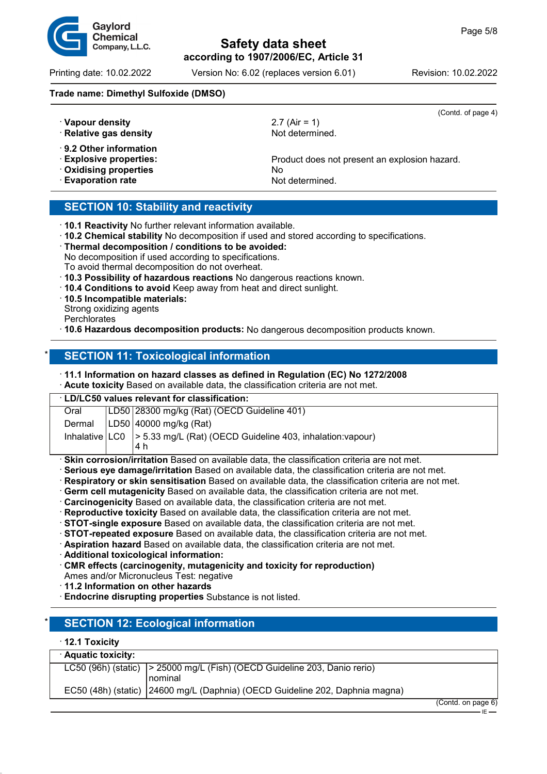$(4)$ 



# **Safety data sheet according to 1907/2006/EC, Article 31**

Printing date: 10.02.2022 Version No: 6.02 (replaces version 6.01) Revision: 10.02.2022

#### **Trade name: Dimethyl Sulfoxide (DMSO)**

| · Vapour density<br>· Relative gas density                                                                       | (Contd. of page<br>2.7 (Air = 1)<br>Not determined.                    |
|------------------------------------------------------------------------------------------------------------------|------------------------------------------------------------------------|
| $\cdot$ 9.2 Other information<br><b>Explosive properties:</b><br>Oxidising properties<br><b>Evaporation rate</b> | Product does not present an explosion hazard.<br>No<br>Not determined. |

### **SECTION 10: Stability and reactivity**

| 10.1 Reactivity No further relevant information available. |  |
|------------------------------------------------------------|--|
|------------------------------------------------------------|--|

- · **10.2 Chemical stability** No decomposition if used and stored according to specifications.
- · **Thermal decomposition / conditions to be avoided:** No decomposition if used according to specifications.
- To avoid thermal decomposition do not overheat.
- · **10.3 Possibility of hazardous reactions** No dangerous reactions known.
- · **10.4 Conditions to avoid** Keep away from heat and direct sunlight.
- · **10.5 Incompatible materials:**
- Strong oxidizing agents
- **Perchlorates**
- · **10.6 Hazardous decomposition products:** No dangerous decomposition products known.

### **SECTION 11: Toxicological information**

#### · **11.1 Information on hazard classes as defined in Regulation (EC) No 1272/2008**

· **Acute toxicity** Based on available data, the classification criteria are not met.

| <b>LD/LC50 values relevant for classification:</b> |  |  |  |  |
|----------------------------------------------------|--|--|--|--|
|                                                    |  |  |  |  |
|                                                    |  |  |  |  |
|                                                    |  |  |  |  |
|                                                    |  |  |  |  |
|                                                    |  |  |  |  |

**Skin corrosion/irritation** Based on available data, the classification criteria are not met.

- · **Serious eye damage/irritation** Based on available data, the classification criteria are not met.
- · **Respiratory or skin sensitisation** Based on available data, the classification criteria are not met.
- · **Germ cell mutagenicity** Based on available data, the classification criteria are not met.
- · **Carcinogenicity** Based on available data, the classification criteria are not met.
- · **Reproductive toxicity** Based on available data, the classification criteria are not met.
- · **STOT-single exposure** Based on available data, the classification criteria are not met.
- · **STOT-repeated exposure** Based on available data, the classification criteria are not met.
- · **Aspiration hazard** Based on available data, the classification criteria are not met.
- · **Additional toxicological information:**
- · **CMR effects (carcinogenity, mutagenicity and toxicity for reproduction)**
- Ames and/or Micronucleus Test: negative
- · **11.2 Information on other hazards**
- · **Endocrine disrupting properties** Substance is not listed.

# **SECTION 12: Ecological information**

#### · **12.1 Toxicity**

| · Aquatic toxicity: |                                                                                   |  |
|---------------------|-----------------------------------------------------------------------------------|--|
|                     | LC50 (96h) (static) $\vert$ > 25000 mg/L (Fish) (OECD Guideline 203, Danio rerio) |  |
|                     | l nominal                                                                         |  |
|                     | EC50 (48h) (static)   24600 mg/L (Daphnia) (OECD Guideline 202, Daphnia magna)    |  |
|                     |                                                                                   |  |

(Contd. on page 6)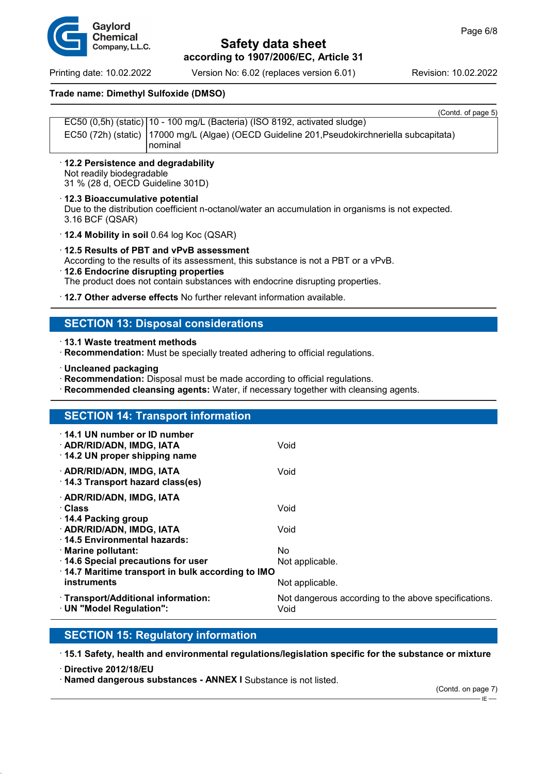Printing date: 10.02.2022 Version No: 6.02 (replaces version 6.01) Revision: 10.02.2022

#### **Trade name: Dimethyl Sulfoxide (DMSO)**

| <b>Toolita</b> of baye of                                                                      |
|------------------------------------------------------------------------------------------------|
| EC50 (0,5h) (static)   10 - 100 mg/L (Bacteria) (ISO 8192, activated sludge)                   |
| EC50 (72h) (static)   17000 mg/L (Algae) (OECD Guideline 201, Pseudokirchneriella subcapitata) |
| l nominal                                                                                      |

- · **12.2 Persistence and degradability** Not readily biodegradable 31 % (28 d, OECD Guideline 301D)
- · **12.3 Bioaccumulative potential** Due to the distribution coefficient n-octanol/water an accumulation in organisms is not expected. 3.16 BCF (QSAR)
- · **12.4 Mobility in soil** 0.64 log Koc (QSAR)
- · **12.5 Results of PBT and vPvB assessment** According to the results of its assessment, this substance is not a PBT or a vPvB.
- · **12.6 Endocrine disrupting properties** The product does not contain substances with endocrine disrupting properties.
- · **12.7 Other adverse effects** No further relevant information available.

### **SECTION 13: Disposal considerations**

· **13.1 Waste treatment methods**

- · **Recommendation:** Must be specially treated adhering to official regulations.
- · **Uncleaned packaging**
- · **Recommendation:** Disposal must be made according to official regulations.
- **Recommended cleansing agents:** Water, if necessary together with cleansing agents.

### **SECTION 14: Transport information**

| $\cdot$ 14.1 UN number or ID number<br>· ADR/RID/ADN, IMDG, IATA<br>$\cdot$ 14.2 UN proper shipping name | Void                                                         |
|----------------------------------------------------------------------------------------------------------|--------------------------------------------------------------|
| · ADR/RID/ADN, IMDG, IATA<br>14.3 Transport hazard class(es)                                             | Void                                                         |
| · ADR/RID/ADN, IMDG, IATA<br>∴Class<br>14.4 Packing group                                                | Void                                                         |
| · ADR/RID/ADN, IMDG, IATA<br>14.5 Environmental hazards:                                                 | Void                                                         |
| · Marine pollutant:<br>14.6 Special precautions for user                                                 | No.<br>Not applicable.                                       |
| 14.7 Maritime transport in bulk according to IMO<br>instruments                                          | Not applicable.                                              |
| · Transport/Additional information:<br>· UN "Model Regulation":                                          | Not dangerous according to the above specifications.<br>Void |

### **SECTION 15: Regulatory information**

· **15.1 Safety, health and environmental regulations/legislation specific for the substance or mixture**

· **Directive 2012/18/EU**

· **Named dangerous substances - ANNEX I** Substance is not listed.

 $-E$ 



 $(C_{\text{on}} + C_{\text{on}} + C_{\text{on}} + C_{\text{on}} + C_{\text{on}} + C_{\text{on}} + C_{\text{on}} + C_{\text{on}} + C_{\text{on}} + C_{\text{on}} + C_{\text{on}} + C_{\text{on}} + C_{\text{on}} + C_{\text{on}} + C_{\text{on}} + C_{\text{on}} + C_{\text{on}} + C_{\text{on}} + C_{\text{on}} + C_{\text{on}} + C_{\text{on}} + C_{\text{on}} + C_{\text{on}} + C_{\text{on}} + C_{\text{on}} + C_{\text{on}} + C_{\text{on}} + C_{\text$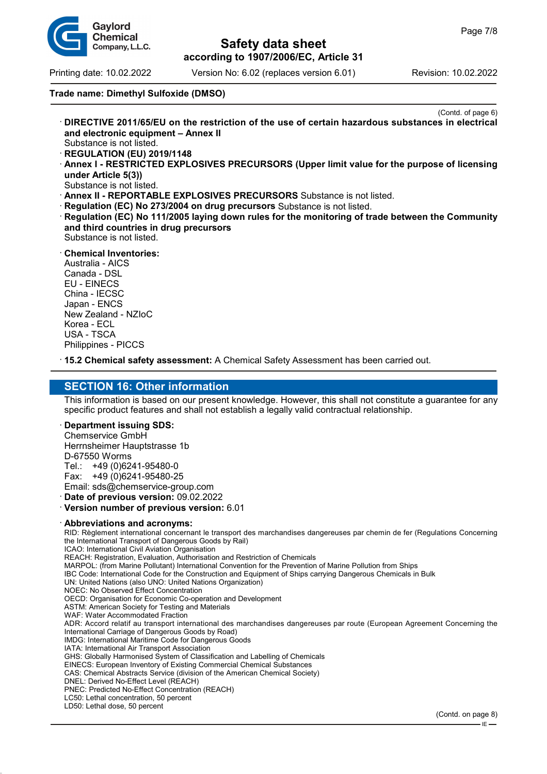

Printing date: 10.02.2022 Version No: 6.02 (replaces version 6.01) Revision: 10.02.2022

### **Trade name: Dimethyl Sulfoxide (DMSO)**

- (Contd. of page 6) · **DIRECTIVE 2011/65/EU on the restriction of the use of certain hazardous substances in electrical and electronic equipment – Annex II** Substance is not listed.
- · **REGULATION (EU) 2019/1148**
- · **Annex I RESTRICTED EXPLOSIVES PRECURSORS (Upper limit value for the purpose of licensing under Article 5(3))**
- Substance is not listed.
- · **Annex II REPORTABLE EXPLOSIVES PRECURSORS** Substance is not listed.
- **Regulation (EC) No 273/2004 on drug precursors** Substance is not listed.
- · **Regulation (EC) No 111/2005 laying down rules for the monitoring of trade between the Community and third countries in drug precursors** Substance is not listed.
- · **Chemical Inventories:**

Australia - AICS Canada - DSL EU - EINECS China - IECSC Japan - ENCS New Zealand - NZIoC Korea - ECL USA - TSCA Philippines - PICCS

· **15.2 Chemical safety assessment:** A Chemical Safety Assessment has been carried out.

## **SECTION 16: Other information**

This information is based on our present knowledge. However, this shall not constitute a guarantee for any specific product features and shall not establish a legally valid contractual relationship.

#### · **Department issuing SDS:**

Chemservice GmbH Herrnsheimer Hauptstrasse 1b D-67550 Worms Tel.: +49 (0)6241-95480-0 Fax: +49 (0)6241-95480-25

Email: sds@chemservice-group.com

· **Date of previous version:** 09.02.2022

· **Version number of previous version:** 6.01

#### · **Abbreviations and acronyms:**

RID: Règlement international concernant le transport des marchandises dangereuses par chemin de fer (Regulations Concerning the International Transport of Dangerous Goods by Rail) ICAO: International Civil Aviation Organisation REACH: Registration, Evaluation, Authorisation and Restriction of Chemicals MARPOL: (from Marine Pollutant) International Convention for the Prevention of Marine Pollution from Ships IBC Code: International Code for the Construction and Equipment of Ships carrying Dangerous Chemicals in Bulk UN: United Nations (also UNO: United Nations Organization) NOEC: No Observed Effect Concentration OECD: Organisation for Economic Co-operation and Development ASTM: American Society for Testing and Materials WAF: Water Accommodated Fraction ADR: Accord relatif au transport international des marchandises dangereuses par route (European Agreement Concerning the International Carriage of Dangerous Goods by Road) IMDG: International Maritime Code for Dangerous Goods IATA: International Air Transport Association GHS: Globally Harmonised System of Classification and Labelling of Chemicals EINECS: European Inventory of Existing Commercial Chemical Substances CAS: Chemical Abstracts Service (division of the American Chemical Society) DNEL: Derived No-Effect Level (REACH) PNEC: Predicted No-Effect Concentration (REACH) LC50: Lethal concentration, 50 percent LD50: Lethal dose, 50 percent

IE